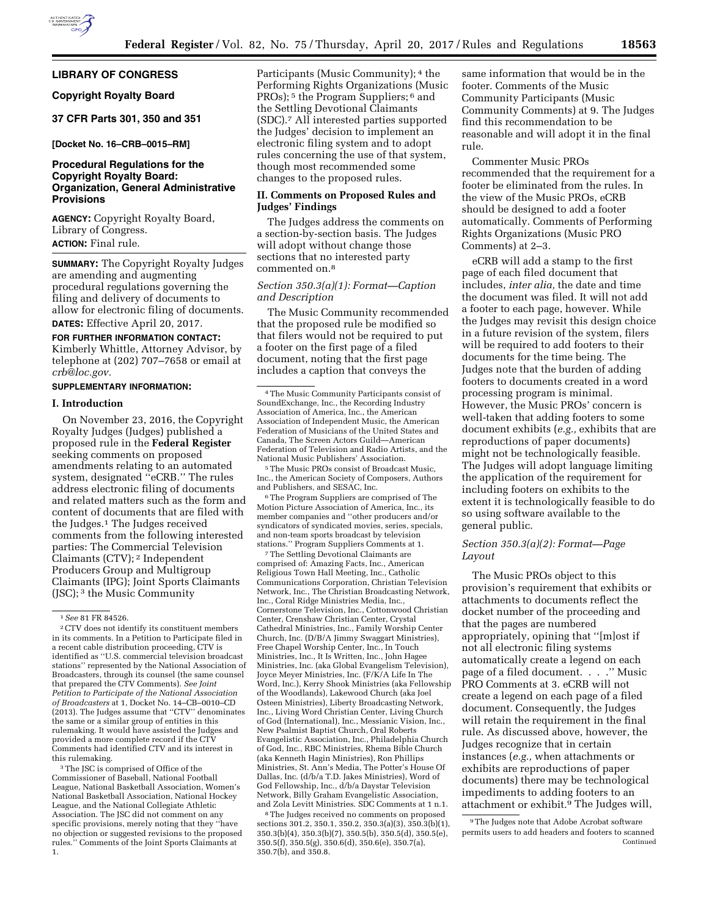# **LIBRARY OF CONGRESS**

# **Copyright Royalty Board**

## **37 CFR Parts 301, 350 and 351**

### **[Docket No. 16–CRB–0015–RM]**

## **Procedural Regulations for the Copyright Royalty Board: Organization, General Administrative Provisions**

**AGENCY:** Copyright Royalty Board, Library of Congress. **ACTION:** Final rule.

**SUMMARY:** The Copyright Royalty Judges are amending and augmenting procedural regulations governing the filing and delivery of documents to allow for electronic filing of documents. **DATES:** Effective April 20, 2017.

# **FOR FURTHER INFORMATION CONTACT:**

Kimberly Whittle, Attorney Advisor, by telephone at (202) 707–7658 or email at *[crb@loc.gov.](mailto:crb@loc.gov)* 

### **SUPPLEMENTARY INFORMATION:**

### **I. Introduction**

On November 23, 2016, the Copyright Royalty Judges (Judges) published a proposed rule in the **Federal Register**  seeking comments on proposed amendments relating to an automated system, designated ''eCRB.'' The rules address electronic filing of documents and related matters such as the form and content of documents that are filed with the Judges.1 The Judges received comments from the following interested parties: The Commercial Television Claimants (CTV); 2 Independent Producers Group and Multigroup Claimants (IPG); Joint Sports Claimants (JSC); 3 the Music Community

3The JSC is comprised of Office of the Commissioner of Baseball, National Football League, National Basketball Association, Women's National Basketball Association, National Hockey League, and the National Collegiate Athletic Association. The JSC did not comment on any specific provisions, merely noting that they ''have no objection or suggested revisions to the proposed rules.'' Comments of the Joint Sports Claimants at 1.

Participants (Music Community); <sup>4</sup> the Performing Rights Organizations (Music PROs); 5 the Program Suppliers; 6 and the Settling Devotional Claimants (SDC).7 All interested parties supported the Judges' decision to implement an electronic filing system and to adopt rules concerning the use of that system, though most recommended some changes to the proposed rules.

## **II. Comments on Proposed Rules and Judges' Findings**

The Judges address the comments on a section-by-section basis. The Judges will adopt without change those sections that no interested party commented on.8

## *Section 350.3(a)(1): Format—Caption and Description*

The Music Community recommended that the proposed rule be modified so that filers would not be required to put a footer on the first page of a filed document, noting that the first page includes a caption that conveys the

5The Music PROs consist of Broadcast Music, Inc., the American Society of Composers, Authors and Publishers, and SESAC, Inc.

6The Program Suppliers are comprised of The Motion Picture Association of America, Inc., its member companies and ''other producers and/or syndicators of syndicated movies, series, specials, and non-team sports broadcast by television stations.'' Program Suppliers Comments at 1.

7The Settling Devotional Claimants are comprised of: Amazing Facts, Inc., American Religious Town Hall Meeting, Inc., Catholic Communications Corporation, Christian Television Network, Inc., The Christian Broadcasting Network, Inc., Coral Ridge Ministries Media, Inc., Cornerstone Television, Inc., Cottonwood Christian Center, Crenshaw Christian Center, Crystal Cathedral Ministries, Inc., Family Worship Center Church, Inc. (D/B/A Jimmy Swaggart Ministries), Free Chapel Worship Center, Inc., In Touch Ministries, Inc., It Is Written, Inc., John Hagee Ministries, Inc. (aka Global Evangelism Television), Joyce Meyer Ministries, Inc. (F/K/A Life In The Word, Inc.), Kerry Shook Ministries (aka Fellowship of the Woodlands), Lakewood Church (aka Joel Osteen Ministries), Liberty Broadcasting Network, Inc., Living Word Christian Center, Living Church of God (International), Inc., Messianic Vision, Inc., New Psalmist Baptist Church, Oral Roberts Evangelistic Association, Inc., Philadelphia Church of God, Inc., RBC Ministries, Rhema Bible Church (aka Kenneth Hagin Ministries), Ron Phillips Ministries, St. Ann's Media, The Potter's House Of Dallas, Inc. (d/b/a T.D. Jakes Ministries), Word of God Fellowship, Inc., d/b/a Daystar Television Network, Billy Graham Evangelistic Association, and Zola Levitt Ministries. SDC Comments at 1 n.1.

8The Judges received no comments on proposed sections 301.2, 350.1, 350.2, 350.3(a)(3), 350.3(b)(1), 350.3(b)(4), 350.3(b)(7), 350.5(b), 350.5(d), 350.5(e), 350.5(f), 350.5(g), 350.6(d), 350.6(e), 350.7(a), 350.7(b), and 350.8.

same information that would be in the footer. Comments of the Music Community Participants (Music Community Comments) at 9. The Judges find this recommendation to be reasonable and will adopt it in the final rule.

Commenter Music PROs recommended that the requirement for a footer be eliminated from the rules. In the view of the Music PROs, eCRB should be designed to add a footer automatically. Comments of Performing Rights Organizations (Music PRO Comments) at 2–3.

eCRB will add a stamp to the first page of each filed document that includes, *inter alia,* the date and time the document was filed. It will not add a footer to each page, however. While the Judges may revisit this design choice in a future revision of the system, filers will be required to add footers to their documents for the time being. The Judges note that the burden of adding footers to documents created in a word processing program is minimal. However, the Music PROs' concern is well-taken that adding footers to some document exhibits (*e.g.,* exhibits that are reproductions of paper documents) might not be technologically feasible. The Judges will adopt language limiting the application of the requirement for including footers on exhibits to the extent it is technologically feasible to do so using software available to the general public.

# *Section 350.3(a)(2): Format—Page Layout*

The Music PROs object to this provision's requirement that exhibits or attachments to documents reflect the docket number of the proceeding and that the pages are numbered appropriately, opining that ''[m]ost if not all electronic filing systems automatically create a legend on each page of a filed document. . . .'' Music PRO Comments at 3. eCRB will not create a legend on each page of a filed document. Consequently, the Judges will retain the requirement in the final rule. As discussed above, however, the Judges recognize that in certain instances (*e.g.,* when attachments or exhibits are reproductions of paper documents) there may be technological impediments to adding footers to an attachment or exhibit.<sup>9</sup> The Judges will,

<sup>1</sup>*See* 81 FR 84526.

<sup>2</sup>CTV does not identify its constituent members in its comments. In a Petition to Participate filed in a recent cable distribution proceeding, CTV is identified as ''U.S. commercial television broadcast stations'' represented by the National Association of Broadcasters, through its counsel (the same counsel that prepared the CTV Comments). *See Joint Petition to Participate of the National Association of Broadcasters* at 1, Docket No. 14–CB–0010–CD (2013). The Judges assume that ''CTV'' denominates the same or a similar group of entities in this rulemaking. It would have assisted the Judges and provided a more complete record if the CTV Comments had identified CTV and its interest in this rulemaking.

<sup>4</sup>The Music Community Participants consist of SoundExchange, Inc., the Recording Industry Association of America, Inc., the American Association of Independent Music, the American Federation of Musicians of the United States and Canada, The Screen Actors Guild—American Federation of Television and Radio Artists, and the National Music Publishers' Association.

<sup>&</sup>lt;sup>9</sup>The Judges note that Adobe Acrobat software permits users to add headers and footers to scanned Continued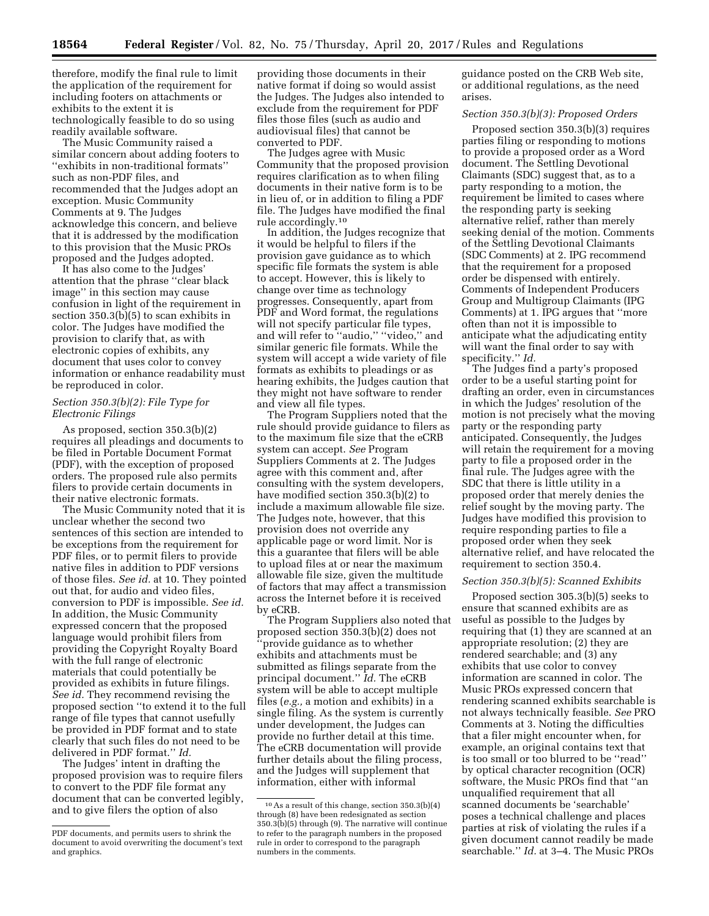therefore, modify the final rule to limit the application of the requirement for including footers on attachments or exhibits to the extent it is technologically feasible to do so using readily available software.

The Music Community raised a similar concern about adding footers to ''exhibits in non-traditional formats'' such as non-PDF files, and recommended that the Judges adopt an exception. Music Community Comments at 9. The Judges acknowledge this concern, and believe that it is addressed by the modification to this provision that the Music PROs proposed and the Judges adopted.

It has also come to the Judges' attention that the phrase ''clear black image'' in this section may cause confusion in light of the requirement in section 350.3(b)(5) to scan exhibits in color. The Judges have modified the provision to clarify that, as with electronic copies of exhibits, any document that uses color to convey information or enhance readability must be reproduced in color.

### *Section 350.3(b)(2): File Type for Electronic Filings*

As proposed, section 350.3(b)(2) requires all pleadings and documents to be filed in Portable Document Format (PDF), with the exception of proposed orders. The proposed rule also permits filers to provide certain documents in their native electronic formats.

The Music Community noted that it is unclear whether the second two sentences of this section are intended to be exceptions from the requirement for PDF files, or to permit filers to provide native files in addition to PDF versions of those files. *See id.* at 10. They pointed out that, for audio and video files, conversion to PDF is impossible. *See id.*  In addition, the Music Community expressed concern that the proposed language would prohibit filers from providing the Copyright Royalty Board with the full range of electronic materials that could potentially be provided as exhibits in future filings. *See id.* They recommend revising the proposed section ''to extend it to the full range of file types that cannot usefully be provided in PDF format and to state clearly that such files do not need to be delivered in PDF format.'' *Id.* 

The Judges' intent in drafting the proposed provision was to require filers to convert to the PDF file format any document that can be converted legibly, and to give filers the option of also

providing those documents in their native format if doing so would assist the Judges. The Judges also intended to exclude from the requirement for PDF files those files (such as audio and audiovisual files) that cannot be converted to PDF.

The Judges agree with Music Community that the proposed provision requires clarification as to when filing documents in their native form is to be in lieu of, or in addition to filing a PDF file. The Judges have modified the final rule accordingly.10

In addition, the Judges recognize that it would be helpful to filers if the provision gave guidance as to which specific file formats the system is able to accept. However, this is likely to change over time as technology progresses. Consequently, apart from PDF and Word format, the regulations will not specify particular file types, and will refer to ''audio,'' ''video,'' and similar generic file formats. While the system will accept a wide variety of file formats as exhibits to pleadings or as hearing exhibits, the Judges caution that they might not have software to render and view all file types.

The Program Suppliers noted that the rule should provide guidance to filers as to the maximum file size that the eCRB system can accept. *See* Program Suppliers Comments at 2. The Judges agree with this comment and, after consulting with the system developers, have modified section 350.3(b)(2) to include a maximum allowable file size. The Judges note, however, that this provision does not override any applicable page or word limit. Nor is this a guarantee that filers will be able to upload files at or near the maximum allowable file size, given the multitude of factors that may affect a transmission across the Internet before it is received by eCRB.

The Program Suppliers also noted that proposed section 350.3(b)(2) does not 'provide guidance as to whether exhibits and attachments must be submitted as filings separate from the principal document.'' *Id.* The eCRB system will be able to accept multiple files (*e.g.,* a motion and exhibits) in a single filing. As the system is currently under development, the Judges can provide no further detail at this time. The eCRB documentation will provide further details about the filing process, and the Judges will supplement that information, either with informal

guidance posted on the CRB Web site, or additional regulations, as the need arises.

# *Section 350.3(b)(3): Proposed Orders*

Proposed section 350.3(b)(3) requires parties filing or responding to motions to provide a proposed order as a Word document. The Settling Devotional Claimants (SDC) suggest that, as to a party responding to a motion, the requirement be limited to cases where the responding party is seeking alternative relief, rather than merely seeking denial of the motion. Comments of the Settling Devotional Claimants (SDC Comments) at 2. IPG recommend that the requirement for a proposed order be dispensed with entirely. Comments of Independent Producers Group and Multigroup Claimants (IPG Comments) at 1. IPG argues that ''more often than not it is impossible to anticipate what the adjudicating entity will want the final order to say with specificity.'' *Id.* 

The Judges find a party's proposed order to be a useful starting point for drafting an order, even in circumstances in which the Judges' resolution of the motion is not precisely what the moving party or the responding party anticipated. Consequently, the Judges will retain the requirement for a moving party to file a proposed order in the final rule. The Judges agree with the SDC that there is little utility in a proposed order that merely denies the relief sought by the moving party. The Judges have modified this provision to require responding parties to file a proposed order when they seek alternative relief, and have relocated the requirement to section 350.4.

# *Section 350.3(b)(5): Scanned Exhibits*

Proposed section 305.3(b)(5) seeks to ensure that scanned exhibits are as useful as possible to the Judges by requiring that (1) they are scanned at an appropriate resolution; (2) they are rendered searchable; and (3) any exhibits that use color to convey information are scanned in color. The Music PROs expressed concern that rendering scanned exhibits searchable is not always technically feasible. *See* PRO Comments at 3. Noting the difficulties that a filer might encounter when, for example, an original contains text that is too small or too blurred to be ''read'' by optical character recognition (OCR) software, the Music PROs find that ''an unqualified requirement that all scanned documents be 'searchable' poses a technical challenge and places parties at risk of violating the rules if a given document cannot readily be made searchable.'' *Id.* at 3–4. The Music PROs

PDF documents, and permits users to shrink the document to avoid overwriting the document's text and graphics.

<sup>10</sup>As a result of this change, section 350.3(b)(4) through (8) have been redesignated as section 350.3(b)(5) through (9). The narrative will continue to refer to the paragraph numbers in the proposed rule in order to correspond to the paragraph numbers in the comments.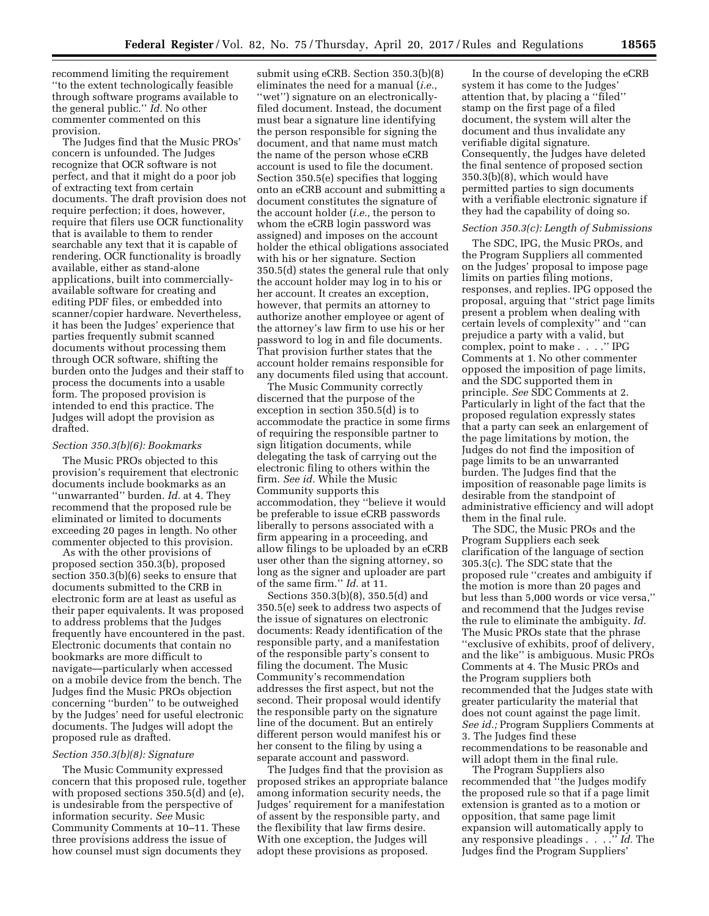recommend limiting the requirement ''to the extent technologically feasible through software programs available to the general public.'' *Id.* No other commenter commented on this provision.

The Judges find that the Music PROs' concern is unfounded. The Judges recognize that OCR software is not perfect, and that it might do a poor job of extracting text from certain documents. The draft provision does not require perfection; it does, however, require that filers use OCR functionality that is available to them to render searchable any text that it is capable of rendering. OCR functionality is broadly available, either as stand-alone applications, built into commerciallyavailable software for creating and editing PDF files, or embedded into scanner/copier hardware. Nevertheless, it has been the Judges' experience that parties frequently submit scanned documents without processing them through OCR software, shifting the burden onto the Judges and their staff to process the documents into a usable form. The proposed provision is intended to end this practice. The Judges will adopt the provision as drafted.

### *Section 350.3(b)(6): Bookmarks*

The Music PROs objected to this provision's requirement that electronic documents include bookmarks as an ''unwarranted'' burden. *Id.* at 4. They recommend that the proposed rule be eliminated or limited to documents exceeding 20 pages in length. No other commenter objected to this provision.

As with the other provisions of proposed section 350.3(b), proposed section 350.3(b)(6) seeks to ensure that documents submitted to the CRB in electronic form are at least as useful as their paper equivalents. It was proposed to address problems that the Judges frequently have encountered in the past. Electronic documents that contain no bookmarks are more difficult to navigate—particularly when accessed on a mobile device from the bench. The Judges find the Music PROs objection concerning ''burden'' to be outweighed by the Judges' need for useful electronic documents. The Judges will adopt the proposed rule as drafted.

### *Section 350.3(b)(8): Signature*

The Music Community expressed concern that this proposed rule, together with proposed sections 350.5(d) and (e), is undesirable from the perspective of information security. *See* Music Community Comments at 10–11. These three provisions address the issue of how counsel must sign documents they

submit using eCRB. Section 350.3(b)(8) eliminates the need for a manual (*i.e.,*  ''wet'') signature on an electronicallyfiled document. Instead, the document must bear a signature line identifying the person responsible for signing the document, and that name must match the name of the person whose eCRB account is used to file the document. Section 350.5(e) specifies that logging onto an eCRB account and submitting a document constitutes the signature of the account holder (*i.e.,* the person to whom the eCRB login password was assigned) and imposes on the account holder the ethical obligations associated with his or her signature. Section 350.5(d) states the general rule that only the account holder may log in to his or her account. It creates an exception, however, that permits an attorney to authorize another employee or agent of the attorney's law firm to use his or her password to log in and file documents. That provision further states that the account holder remains responsible for any documents filed using that account.

The Music Community correctly discerned that the purpose of the exception in section 350.5(d) is to accommodate the practice in some firms of requiring the responsible partner to sign litigation documents, while delegating the task of carrying out the electronic filing to others within the firm. *See id.* While the Music Community supports this accommodation, they ''believe it would be preferable to issue eCRB passwords liberally to persons associated with a firm appearing in a proceeding, and allow filings to be uploaded by an eCRB user other than the signing attorney, so long as the signer and uploader are part of the same firm.'' *Id.* at 11.

Sections 350.3(b)(8), 350.5(d) and 350.5(e) seek to address two aspects of the issue of signatures on electronic documents: Ready identification of the responsible party, and a manifestation of the responsible party's consent to filing the document. The Music Community's recommendation addresses the first aspect, but not the second. Their proposal would identify the responsible party on the signature line of the document. But an entirely different person would manifest his or her consent to the filing by using a separate account and password.

The Judges find that the provision as proposed strikes an appropriate balance among information security needs, the Judges' requirement for a manifestation of assent by the responsible party, and the flexibility that law firms desire. With one exception, the Judges will adopt these provisions as proposed.

In the course of developing the eCRB system it has come to the Judges' attention that, by placing a ''filed'' stamp on the first page of a filed document, the system will alter the document and thus invalidate any verifiable digital signature. Consequently, the Judges have deleted the final sentence of proposed section 350.3(b)(8), which would have permitted parties to sign documents with a verifiable electronic signature if they had the capability of doing so.

### *Section 350.3(c): Length of Submissions*

The SDC, IPG, the Music PROs, and the Program Suppliers all commented on the Judges' proposal to impose page limits on parties filing motions, responses, and replies. IPG opposed the proposal, arguing that ''strict page limits present a problem when dealing with certain levels of complexity'' and ''can prejudice a party with a valid, but complex, point to make . . . .'' IPG Comments at 1. No other commenter opposed the imposition of page limits, and the SDC supported them in principle. *See* SDC Comments at 2. Particularly in light of the fact that the proposed regulation expressly states that a party can seek an enlargement of the page limitations by motion, the Judges do not find the imposition of page limits to be an unwarranted burden. The Judges find that the imposition of reasonable page limits is desirable from the standpoint of administrative efficiency and will adopt them in the final rule.

The SDC, the Music PROs and the Program Suppliers each seek clarification of the language of section 305.3(c). The SDC state that the proposed rule ''creates and ambiguity if the motion is more than 20 pages and but less than 5,000 words or vice versa,'' and recommend that the Judges revise the rule to eliminate the ambiguity. *Id.*  The Music PROs state that the phrase ''exclusive of exhibits, proof of delivery, and the like'' is ambiguous. Music PROs Comments at 4. The Music PROs and the Program suppliers both recommended that the Judges state with greater particularity the material that does not count against the page limit. *See id.;* Program Suppliers Comments at 3. The Judges find these recommendations to be reasonable and will adopt them in the final rule.

The Program Suppliers also recommended that ''the Judges modify the proposed rule so that if a page limit extension is granted as to a motion or opposition, that same page limit expansion will automatically apply to any responsive pleadings . . . .'' *Id.* The Judges find the Program Suppliers'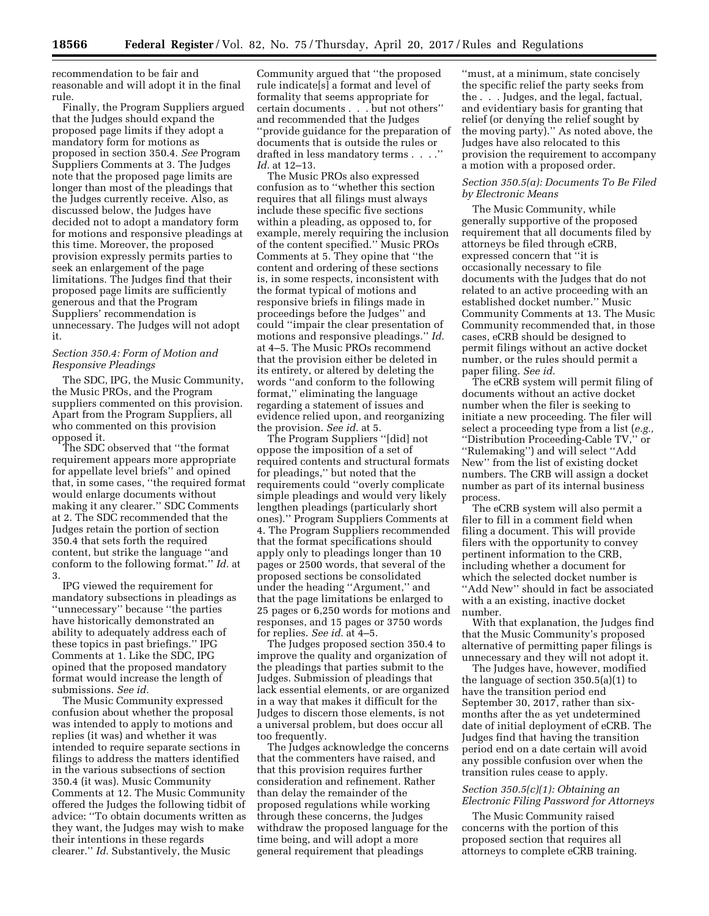recommendation to be fair and reasonable and will adopt it in the final rule.

Finally, the Program Suppliers argued that the Judges should expand the proposed page limits if they adopt a mandatory form for motions as proposed in section 350.4. *See* Program Suppliers Comments at 3. The Judges note that the proposed page limits are longer than most of the pleadings that the Judges currently receive. Also, as discussed below, the Judges have decided not to adopt a mandatory form for motions and responsive pleadings at this time. Moreover, the proposed provision expressly permits parties to seek an enlargement of the page limitations. The Judges find that their proposed page limits are sufficiently generous and that the Program Suppliers' recommendation is unnecessary. The Judges will not adopt it.

### *Section 350.4: Form of Motion and Responsive Pleadings*

The SDC, IPG, the Music Community, the Music PROs, and the Program suppliers commented on this provision. Apart from the Program Suppliers, all who commented on this provision opposed it.

The SDC observed that ''the format requirement appears more appropriate for appellate level briefs'' and opined that, in some cases, ''the required format would enlarge documents without making it any clearer.'' SDC Comments at 2. The SDC recommended that the Judges retain the portion of section 350.4 that sets forth the required content, but strike the language ''and conform to the following format.'' *Id.* at 3.

IPG viewed the requirement for mandatory subsections in pleadings as ''unnecessary'' because ''the parties have historically demonstrated an ability to adequately address each of these topics in past briefings.'' IPG Comments at 1. Like the SDC, IPG opined that the proposed mandatory format would increase the length of submissions. *See id.* 

The Music Community expressed confusion about whether the proposal was intended to apply to motions and replies (it was) and whether it was intended to require separate sections in filings to address the matters identified in the various subsections of section 350.4 (it was). Music Community Comments at 12. The Music Community offered the Judges the following tidbit of advice: ''To obtain documents written as they want, the Judges may wish to make their intentions in these regards clearer.'' *Id.* Substantively, the Music

Community argued that ''the proposed rule indicate[s] a format and level of formality that seems appropriate for certain documents . . . but not others'' and recommended that the Judges ''provide guidance for the preparation of documents that is outside the rules or drafted in less mandatory terms . . . .'' *Id.* at 12–13.

The Music PROs also expressed confusion as to ''whether this section requires that all filings must always include these specific five sections within a pleading, as opposed to, for example, merely requiring the inclusion of the content specified.'' Music PROs Comments at 5. They opine that ''the content and ordering of these sections is, in some respects, inconsistent with the format typical of motions and responsive briefs in filings made in proceedings before the Judges'' and could ''impair the clear presentation of motions and responsive pleadings.'' *Id.*  at 4–5. The Music PROs recommend that the provision either be deleted in its entirety, or altered by deleting the words ''and conform to the following format,'' eliminating the language regarding a statement of issues and evidence relied upon, and reorganizing the provision. *See id.* at 5.

The Program Suppliers ''[did] not oppose the imposition of a set of required contents and structural formats for pleadings,'' but noted that the requirements could ''overly complicate simple pleadings and would very likely lengthen pleadings (particularly short ones).'' Program Suppliers Comments at 4. The Program Suppliers recommended that the format specifications should apply only to pleadings longer than 10 pages or 2500 words, that several of the proposed sections be consolidated under the heading ''Argument,'' and that the page limitations be enlarged to 25 pages or 6,250 words for motions and responses, and 15 pages or 3750 words for replies. *See id.* at 4–5.

The Judges proposed section 350.4 to improve the quality and organization of the pleadings that parties submit to the Judges. Submission of pleadings that lack essential elements, or are organized in a way that makes it difficult for the Judges to discern those elements, is not a universal problem, but does occur all too frequently.

The Judges acknowledge the concerns that the commenters have raised, and that this provision requires further consideration and refinement. Rather than delay the remainder of the proposed regulations while working through these concerns, the Judges withdraw the proposed language for the time being, and will adopt a more general requirement that pleadings

''must, at a minimum, state concisely the specific relief the party seeks from the . . . Judges, and the legal, factual, and evidentiary basis for granting that relief (or denying the relief sought by the moving party).'' As noted above, the Judges have also relocated to this provision the requirement to accompany a motion with a proposed order.

## *Section 350.5(a): Documents To Be Filed by Electronic Means*

The Music Community, while generally supportive of the proposed requirement that all documents filed by attorneys be filed through eCRB, expressed concern that ''it is occasionally necessary to file documents with the Judges that do not related to an active proceeding with an established docket number.'' Music Community Comments at 13. The Music Community recommended that, in those cases, eCRB should be designed to permit filings without an active docket number, or the rules should permit a paper filing. *See id.* 

The eCRB system will permit filing of documents without an active docket number when the filer is seeking to initiate a new proceeding. The filer will select a proceeding type from a list (*e.g.,*  ''Distribution Proceeding-Cable TV,'' or ''Rulemaking'') and will select ''Add New'' from the list of existing docket numbers. The CRB will assign a docket number as part of its internal business process.

The eCRB system will also permit a filer to fill in a comment field when filing a document. This will provide filers with the opportunity to convey pertinent information to the CRB, including whether a document for which the selected docket number is ''Add New'' should in fact be associated with a an existing, inactive docket number.

With that explanation, the Judges find that the Music Community's proposed alternative of permitting paper filings is unnecessary and they will not adopt it.

The Judges have, however, modified the language of section 350.5(a)(1) to have the transition period end September 30, 2017, rather than sixmonths after the as yet undetermined date of initial deployment of eCRB. The Judges find that having the transition period end on a date certain will avoid any possible confusion over when the transition rules cease to apply.

### *Section 350.5(c)(1): Obtaining an Electronic Filing Password for Attorneys*

The Music Community raised concerns with the portion of this proposed section that requires all attorneys to complete eCRB training.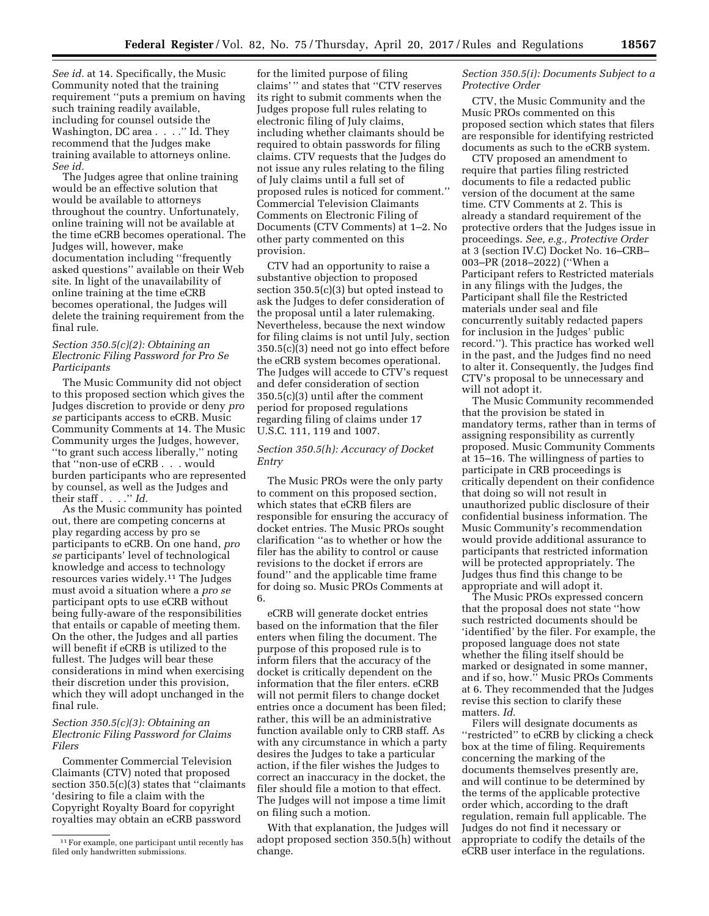*See id.* at 14. Specifically, the Music Community noted that the training requirement ''puts a premium on having such training readily available, including for counsel outside the Washington, DC area . . . ." Id. They recommend that the Judges make training available to attorneys online.

*See id.*  The Judges agree that online training would be an effective solution that would be available to attorneys throughout the country. Unfortunately, online training will not be available at the time eCRB becomes operational. The Judges will, however, make documentation including ''frequently asked questions'' available on their Web site. In light of the unavailability of online training at the time eCRB becomes operational, the Judges will delete the training requirement from the final rule.

## *Section 350.5(c)(2): Obtaining an Electronic Filing Password for Pro Se Participants*

The Music Community did not object to this proposed section which gives the Judges discretion to provide or deny *pro se* participants access to eCRB. Music Community Comments at 14. The Music Community urges the Judges, however, ''to grant such access liberally,'' noting that ''non-use of eCRB . . . would burden participants who are represented by counsel, as well as the Judges and their staff . . . .'' *Id.* 

As the Music community has pointed out, there are competing concerns at play regarding access by pro se participants to eCRB. On one hand, *pro se* participants' level of technological knowledge and access to technology resources varies widely.11 The Judges must avoid a situation where a *pro se*  participant opts to use eCRB without being fully-aware of the responsibilities that entails or capable of meeting them. On the other, the Judges and all parties will benefit if eCRB is utilized to the fullest. The Judges will bear these considerations in mind when exercising their discretion under this provision, which they will adopt unchanged in the final rule.

## *Section 350.5(c)(3): Obtaining an Electronic Filing Password for Claims Filers*

Commenter Commercial Television Claimants (CTV) noted that proposed section 350.5(c)(3) states that ''claimants 'desiring to file a claim with the Copyright Royalty Board for copyright royalties may obtain an eCRB password

for the limited purpose of filing claims' '' and states that ''CTV reserves its right to submit comments when the Judges propose full rules relating to electronic filing of July claims, including whether claimants should be required to obtain passwords for filing claims. CTV requests that the Judges do not issue any rules relating to the filing of July claims until a full set of proposed rules is noticed for comment.'' Commercial Television Claimants Comments on Electronic Filing of Documents (CTV Comments) at 1–2. No other party commented on this provision.

CTV had an opportunity to raise a substantive objection to proposed section 350.5(c)(3) but opted instead to ask the Judges to defer consideration of the proposal until a later rulemaking. Nevertheless, because the next window for filing claims is not until July, section 350.5(c)(3) need not go into effect before the eCRB system becomes operational. The Judges will accede to CTV's request and defer consideration of section 350.5(c)(3) until after the comment period for proposed regulations regarding filing of claims under 17 U.S.C. 111, 119 and 1007.

## *Section 350.5(h): Accuracy of Docket Entry*

The Music PROs were the only party to comment on this proposed section, which states that eCRB filers are responsible for ensuring the accuracy of docket entries. The Music PROs sought clarification ''as to whether or how the filer has the ability to control or cause revisions to the docket if errors are found'' and the applicable time frame for doing so. Music PROs Comments at 6.

eCRB will generate docket entries based on the information that the filer enters when filing the document. The purpose of this proposed rule is to inform filers that the accuracy of the docket is critically dependent on the information that the filer enters. eCRB will not permit filers to change docket entries once a document has been filed; rather, this will be an administrative function available only to CRB staff. As with any circumstance in which a party desires the Judges to take a particular action, if the filer wishes the Judges to correct an inaccuracy in the docket, the filer should file a motion to that effect. The Judges will not impose a time limit on filing such a motion.

With that explanation, the Judges will adopt proposed section 350.5(h) without change.

### *Section 350.5(i): Documents Subject to a Protective Order*

CTV, the Music Community and the Music PROs commented on this proposed section which states that filers are responsible for identifying restricted documents as such to the eCRB system.

CTV proposed an amendment to require that parties filing restricted documents to file a redacted public version of the document at the same time. CTV Comments at 2. This is already a standard requirement of the protective orders that the Judges issue in proceedings. *See, e.g., Protective Order*  at 3 (section IV.C) Docket No. 16–CRB– 003–PR (2018–2022) (''When a Participant refers to Restricted materials in any filings with the Judges, the Participant shall file the Restricted materials under seal and file concurrently suitably redacted papers for inclusion in the Judges' public record.''). This practice has worked well in the past, and the Judges find no need to alter it. Consequently, the Judges find CTV's proposal to be unnecessary and will not adopt it.

The Music Community recommended that the provision be stated in mandatory terms, rather than in terms of assigning responsibility as currently proposed. Music Community Comments at 15–16. The willingness of parties to participate in CRB proceedings is critically dependent on their confidence that doing so will not result in unauthorized public disclosure of their confidential business information. The Music Community's recommendation would provide additional assurance to participants that restricted information will be protected appropriately. The Judges thus find this change to be appropriate and will adopt it.

The Music PROs expressed concern that the proposal does not state ''how such restricted documents should be 'identified' by the filer. For example, the proposed language does not state whether the filing itself should be marked or designated in some manner, and if so, how.'' Music PROs Comments at 6. They recommended that the Judges revise this section to clarify these matters. *Id.* 

Filers will designate documents as ''restricted'' to eCRB by clicking a check box at the time of filing. Requirements concerning the marking of the documents themselves presently are, and will continue to be determined by the terms of the applicable protective order which, according to the draft regulation, remain full applicable. The Judges do not find it necessary or appropriate to codify the details of the eCRB user interface in the regulations.

<sup>&</sup>lt;sup>11</sup> For example, one participant until recently has filed only handwritten submissions.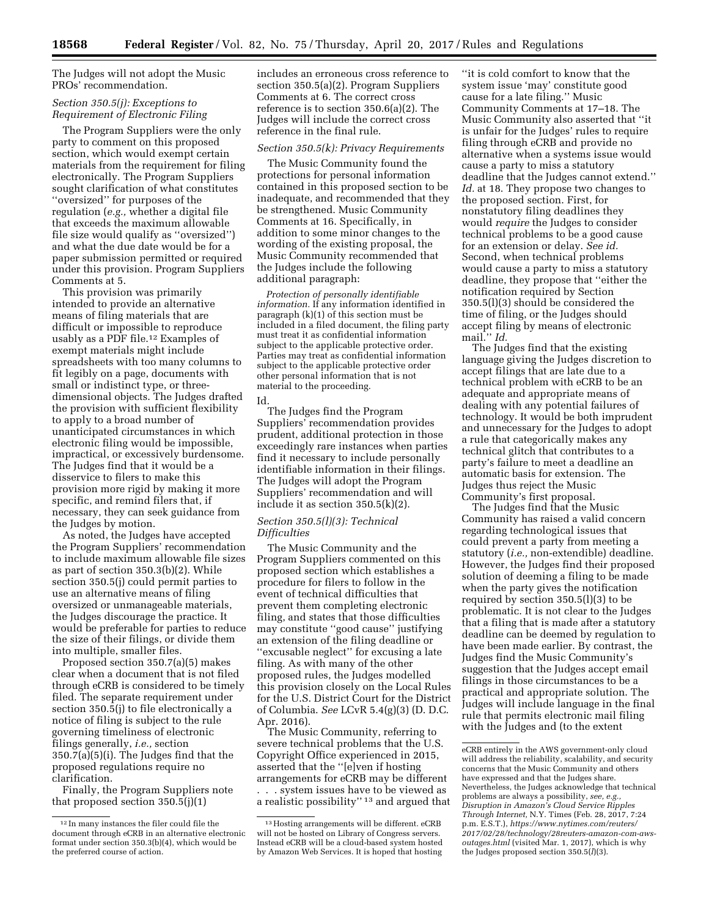The Judges will not adopt the Music PROs' recommendation.

### *Section 350.5(j): Exceptions to Requirement of Electronic Filing*

The Program Suppliers were the only party to comment on this proposed section, which would exempt certain materials from the requirement for filing electronically. The Program Suppliers sought clarification of what constitutes ''oversized'' for purposes of the regulation (*e.g.,* whether a digital file that exceeds the maximum allowable file size would qualify as ''oversized'') and what the due date would be for a paper submission permitted or required under this provision. Program Suppliers Comments at 5.

This provision was primarily intended to provide an alternative means of filing materials that are difficult or impossible to reproduce usably as a PDF file.12 Examples of exempt materials might include spreadsheets with too many columns to fit legibly on a page, documents with small or indistinct type, or threedimensional objects. The Judges drafted the provision with sufficient flexibility to apply to a broad number of unanticipated circumstances in which electronic filing would be impossible, impractical, or excessively burdensome. The Judges find that it would be a disservice to filers to make this provision more rigid by making it more specific, and remind filers that, if necessary, they can seek guidance from the Judges by motion.

As noted, the Judges have accepted the Program Suppliers' recommendation to include maximum allowable file sizes as part of section 350.3(b)(2). While section 350.5(j) could permit parties to use an alternative means of filing oversized or unmanageable materials, the Judges discourage the practice. It would be preferable for parties to reduce the size of their filings, or divide them into multiple, smaller files.

Proposed section 350.7(a)(5) makes clear when a document that is not filed through eCRB is considered to be timely filed. The separate requirement under section 350.5(j) to file electronically a notice of filing is subject to the rule governing timeliness of electronic filings generally, *i.e.,* section 350.7(a)(5)(i). The Judges find that the proposed regulations require no clarification.

Finally, the Program Suppliers note that proposed section 350.5(j)(1)

includes an erroneous cross reference to section 350.5(a)(2). Program Suppliers Comments at 6. The correct cross reference is to section 350.6(a)(2). The Judges will include the correct cross reference in the final rule.

#### *Section 350.5(k): Privacy Requirements*

The Music Community found the protections for personal information contained in this proposed section to be inadequate, and recommended that they be strengthened. Music Community Comments at 16. Specifically, in addition to some minor changes to the wording of the existing proposal, the Music Community recommended that the Judges include the following additional paragraph:

*Protection of personally identifiable information.* If any information identified in paragraph (k)(1) of this section must be included in a filed document, the filing party must treat it as confidential information subject to the applicable protective order. Parties may treat as confidential information subject to the applicable protective order other personal information that is not material to the proceeding. Id.

The Judges find the Program Suppliers' recommendation provides prudent, additional protection in those exceedingly rare instances when parties find it necessary to include personally identifiable information in their filings. The Judges will adopt the Program Suppliers' recommendation and will include it as section 350.5(k)(2).

### *Section 350.5(l)(3): Technical Difficulties*

The Music Community and the Program Suppliers commented on this proposed section which establishes a procedure for filers to follow in the event of technical difficulties that prevent them completing electronic filing, and states that those difficulties may constitute ''good cause'' justifying an extension of the filing deadline or ''excusable neglect'' for excusing a late filing. As with many of the other proposed rules, the Judges modelled this provision closely on the Local Rules for the U.S. District Court for the District of Columbia. *See* LCvR 5.4(g)(3) (D. D.C. Apr. 2016).

The Music Community, referring to severe technical problems that the U.S. Copyright Office experienced in 2015, asserted that the ''[e]ven if hosting arrangements for eCRB may be different

. . . system issues have to be viewed as a realistic possibility'' 13 and argued that

''it is cold comfort to know that the system issue 'may' constitute good cause for a late filing.'' Music Community Comments at 17–18. The Music Community also asserted that ''it is unfair for the Judges' rules to require filing through eCRB and provide no alternative when a systems issue would cause a party to miss a statutory deadline that the Judges cannot extend.'' Id. at 18. They propose two changes to the proposed section. First, for nonstatutory filing deadlines they would *require* the Judges to consider technical problems to be a good cause for an extension or delay. *See id.*  Second, when technical problems would cause a party to miss a statutory deadline, they propose that ''either the notification required by Section 350.5(l)(3) should be considered the time of filing, or the Judges should accept filing by means of electronic mail.'' *Id.* 

The Judges find that the existing language giving the Judges discretion to accept filings that are late due to a technical problem with eCRB to be an adequate and appropriate means of dealing with any potential failures of technology. It would be both imprudent and unnecessary for the Judges to adopt a rule that categorically makes any technical glitch that contributes to a party's failure to meet a deadline an automatic basis for extension. The Judges thus reject the Music Community's first proposal.

The Judges find that the Music Community has raised a valid concern regarding technological issues that could prevent a party from meeting a statutory (*i.e.,* non-extendible) deadline. However, the Judges find their proposed solution of deeming a filing to be made when the party gives the notification required by section 350.5(l)(3) to be problematic. It is not clear to the Judges that a filing that is made after a statutory deadline can be deemed by regulation to have been made earlier. By contrast, the Judges find the Music Community's suggestion that the Judges accept email filings in those circumstances to be a practical and appropriate solution. The Judges will include language in the final rule that permits electronic mail filing with the Judges and (to the extent

<sup>12</sup> In many instances the filer could file the document through eCRB in an alternative electronic format under section 350.3(b)(4), which would be the preferred course of action.

<sup>13</sup>Hosting arrangements will be different. eCRB will not be hosted on Library of Congress servers. Instead eCRB will be a cloud-based system hosted by Amazon Web Services. It is hoped that hosting

eCRB entirely in the AWS government-only cloud will address the reliability, scalability, and security concerns that the Music Community and others have expressed and that the Judges share. Nevertheless, the Judges acknowledge that technical problems are always a possibility, *see, e.g., Disruption in Amazon's Cloud Service Ripples Through Internet,* N.Y. Times (Feb. 28, 2017, 7:24 p.m. E.S.T.), *[https://www.nytimes.com/reuters/](https://www.nytimes.com/reuters/2017/02/28/technology/28reuters-amazon-com-aws-outages.html)  [2017/02/28/technology/28reuters-amazon-com-aws](https://www.nytimes.com/reuters/2017/02/28/technology/28reuters-amazon-com-aws-outages.html)[outages.html](https://www.nytimes.com/reuters/2017/02/28/technology/28reuters-amazon-com-aws-outages.html)* (visited Mar. 1, 2017), which is why the Judges proposed section 350.5(*l*)(3).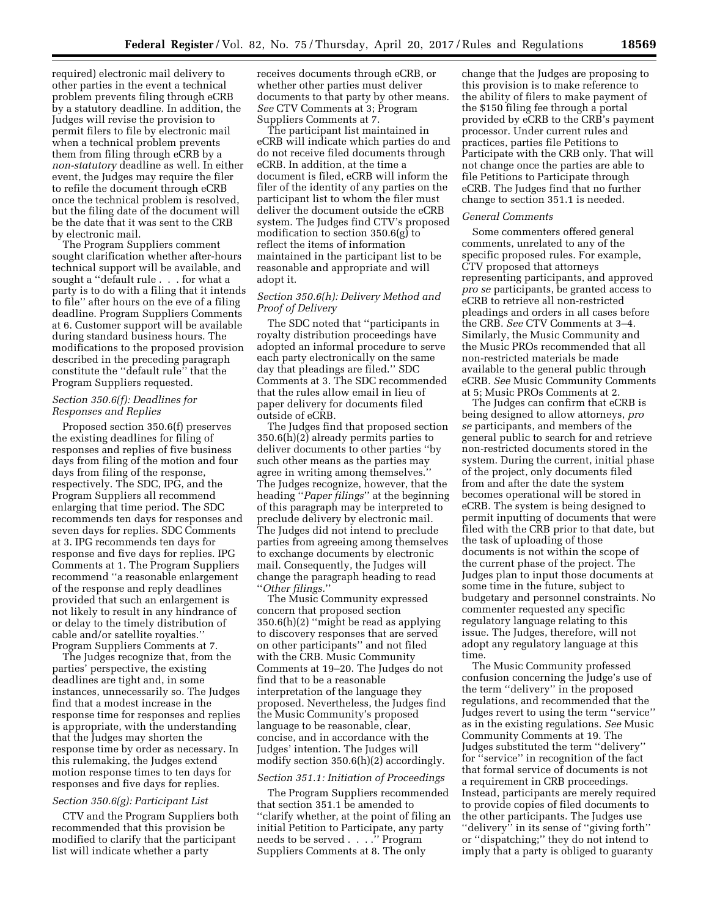required) electronic mail delivery to other parties in the event a technical problem prevents filing through eCRB by a statutory deadline. In addition, the Judges will revise the provision to permit filers to file by electronic mail when a technical problem prevents them from filing through eCRB by a *non-statutory* deadline as well. In either event, the Judges may require the filer to refile the document through eCRB once the technical problem is resolved, but the filing date of the document will be the date that it was sent to the CRB by electronic mail.

The Program Suppliers comment sought clarification whether after-hours technical support will be available, and sought a ''default rule . . . for what a party is to do with a filing that it intends to file'' after hours on the eve of a filing deadline. Program Suppliers Comments at 6. Customer support will be available during standard business hours. The modifications to the proposed provision described in the preceding paragraph constitute the ''default rule'' that the Program Suppliers requested.

### *Section 350.6(f): Deadlines for Responses and Replies*

Proposed section 350.6(f) preserves the existing deadlines for filing of responses and replies of five business days from filing of the motion and four days from filing of the response, respectively. The SDC, IPG, and the Program Suppliers all recommend enlarging that time period. The SDC recommends ten days for responses and seven days for replies. SDC Comments at 3. IPG recommends ten days for response and five days for replies. IPG Comments at 1. The Program Suppliers recommend ''a reasonable enlargement of the response and reply deadlines provided that such an enlargement is not likely to result in any hindrance of or delay to the timely distribution of cable and/or satellite royalties.'' Program Suppliers Comments at 7.

The Judges recognize that, from the parties' perspective, the existing deadlines are tight and, in some instances, unnecessarily so. The Judges find that a modest increase in the response time for responses and replies is appropriate, with the understanding that the Judges may shorten the response time by order as necessary. In this rulemaking, the Judges extend motion response times to ten days for responses and five days for replies.

#### *Section 350.6(g): Participant List*

CTV and the Program Suppliers both recommended that this provision be modified to clarify that the participant list will indicate whether a party

receives documents through eCRB, or whether other parties must deliver documents to that party by other means. *See* CTV Comments at 3; Program Suppliers Comments at 7.

The participant list maintained in eCRB will indicate which parties do and do not receive filed documents through eCRB. In addition, at the time a document is filed, eCRB will inform the filer of the identity of any parties on the participant list to whom the filer must deliver the document outside the eCRB system. The Judges find CTV's proposed modification to section 350.6(g) to reflect the items of information maintained in the participant list to be reasonable and appropriate and will adopt it.

## *Section 350.6(h): Delivery Method and Proof of Delivery*

The SDC noted that ''participants in royalty distribution proceedings have adopted an informal procedure to serve each party electronically on the same day that pleadings are filed.'' SDC Comments at 3. The SDC recommended that the rules allow email in lieu of paper delivery for documents filed outside of eCRB.

The Judges find that proposed section 350.6(h)(2) already permits parties to deliver documents to other parties ''by such other means as the parties may agree in writing among themselves. The Judges recognize, however, that the heading ''*Paper filings*'' at the beginning of this paragraph may be interpreted to preclude delivery by electronic mail. The Judges did not intend to preclude parties from agreeing among themselves to exchange documents by electronic mail. Consequently, the Judges will change the paragraph heading to read ''*Other filings.*''

The Music Community expressed concern that proposed section 350.6(h)(2) ''might be read as applying to discovery responses that are served on other participants'' and not filed with the CRB. Music Community Comments at 19–20. The Judges do not find that to be a reasonable interpretation of the language they proposed. Nevertheless, the Judges find the Music Community's proposed language to be reasonable, clear, concise, and in accordance with the Judges' intention. The Judges will modify section 350.6(h)(2) accordingly.

#### *Section 351.1: Initiation of Proceedings*

The Program Suppliers recommended that section 351.1 be amended to ''clarify whether, at the point of filing an initial Petition to Participate, any party needs to be served . . . .'' Program Suppliers Comments at 8. The only

change that the Judges are proposing to this provision is to make reference to the ability of filers to make payment of the \$150 filing fee through a portal provided by eCRB to the CRB's payment processor. Under current rules and practices, parties file Petitions to Participate with the CRB only. That will not change once the parties are able to file Petitions to Participate through eCRB. The Judges find that no further change to section 351.1 is needed.

### *General Comments*

Some commenters offered general comments, unrelated to any of the specific proposed rules. For example, CTV proposed that attorneys representing participants, and approved *pro se* participants, be granted access to eCRB to retrieve all non-restricted pleadings and orders in all cases before the CRB. *See* CTV Comments at 3–4. Similarly, the Music Community and the Music PROs recommended that all non-restricted materials be made available to the general public through eCRB. *See* Music Community Comments at 5; Music PROs Comments at 2.

The Judges can confirm that eCRB is being designed to allow attorneys, *pro se* participants, and members of the general public to search for and retrieve non-restricted documents stored in the system. During the current, initial phase of the project, only documents filed from and after the date the system becomes operational will be stored in eCRB. The system is being designed to permit inputting of documents that were filed with the CRB prior to that date, but the task of uploading of those documents is not within the scope of the current phase of the project. The Judges plan to input those documents at some time in the future, subject to budgetary and personnel constraints. No commenter requested any specific regulatory language relating to this issue. The Judges, therefore, will not adopt any regulatory language at this time.

The Music Community professed confusion concerning the Judge's use of the term ''delivery'' in the proposed regulations, and recommended that the Judges revert to using the term ''service'' as in the existing regulations. *See* Music Community Comments at 19. The Judges substituted the term ''delivery'' for ''service'' in recognition of the fact that formal service of documents is not a requirement in CRB proceedings. Instead, participants are merely required to provide copies of filed documents to the other participants. The Judges use ''delivery'' in its sense of ''giving forth'' or ''dispatching;'' they do not intend to imply that a party is obliged to guaranty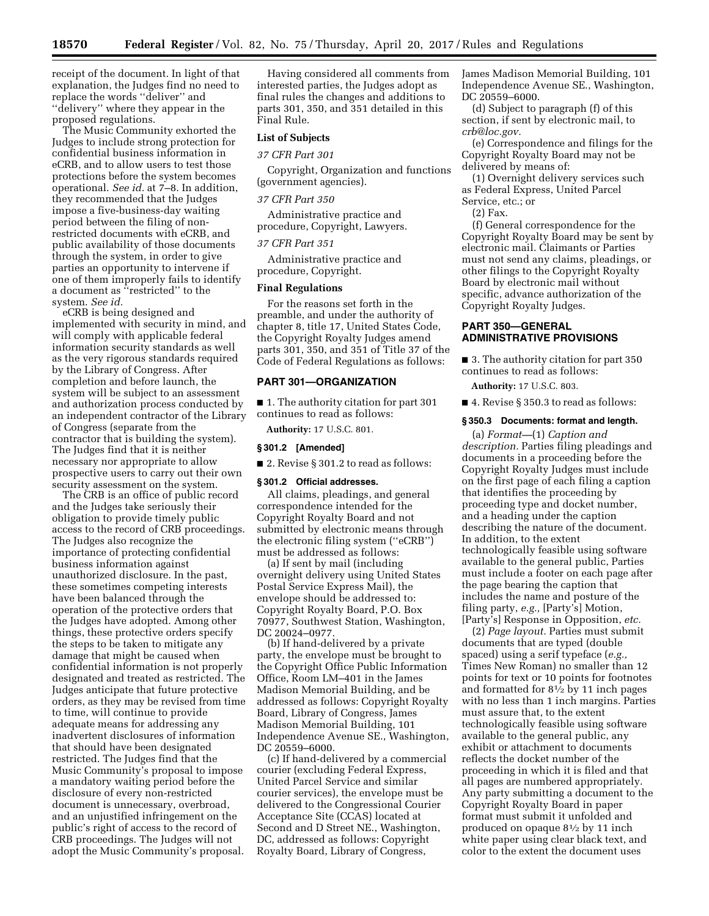receipt of the document. In light of that explanation, the Judges find no need to replace the words ''deliver'' and ''delivery'' where they appear in the proposed regulations.

The Music Community exhorted the Judges to include strong protection for confidential business information in eCRB, and to allow users to test those protections before the system becomes operational. *See id.* at 7–8. In addition, they recommended that the Judges impose a five-business-day waiting period between the filing of nonrestricted documents with eCRB, and public availability of those documents through the system, in order to give parties an opportunity to intervene if one of them improperly fails to identify a document as ''restricted'' to the system. *See id.* 

eCRB is being designed and implemented with security in mind, and will comply with applicable federal information security standards as well as the very rigorous standards required by the Library of Congress. After completion and before launch, the system will be subject to an assessment and authorization process conducted by an independent contractor of the Library of Congress (separate from the contractor that is building the system). The Judges find that it is neither necessary nor appropriate to allow prospective users to carry out their own security assessment on the system.

The CRB is an office of public record and the Judges take seriously their obligation to provide timely public access to the record of CRB proceedings. The Judges also recognize the importance of protecting confidential business information against unauthorized disclosure. In the past, these sometimes competing interests have been balanced through the operation of the protective orders that the Judges have adopted. Among other things, these protective orders specify the steps to be taken to mitigate any damage that might be caused when confidential information is not properly designated and treated as restricted. The Judges anticipate that future protective orders, as they may be revised from time to time, will continue to provide adequate means for addressing any inadvertent disclosures of information that should have been designated restricted. The Judges find that the Music Community's proposal to impose a mandatory waiting period before the disclosure of every non-restricted document is unnecessary, overbroad, and an unjustified infringement on the public's right of access to the record of CRB proceedings. The Judges will not adopt the Music Community's proposal.

Having considered all comments from interested parties, the Judges adopt as final rules the changes and additions to parts 301, 350, and 351 detailed in this Final Rule.

### **List of Subjects**

*37 CFR Part 301* 

Copyright, Organization and functions (government agencies).

#### *37 CFR Part 350*

Administrative practice and procedure, Copyright, Lawyers.

#### *37 CFR Part 351*

Administrative practice and procedure, Copyright.

### **Final Regulations**

For the reasons set forth in the preamble, and under the authority of chapter 8, title 17, United States Code, the Copyright Royalty Judges amend parts 301, 350, and 351 of Title 37 of the Code of Federal Regulations as follows:

## **PART 301—ORGANIZATION**

■ 1. The authority citation for part 301 continues to read as follows:

**Authority:** 17 U.S.C. 801.

#### **§ 301.2 [Amended]**

■ 2. Revise § 301.2 to read as follows:

### **§ 301.2 Official addresses.**

All claims, pleadings, and general correspondence intended for the Copyright Royalty Board and not submitted by electronic means through the electronic filing system (''eCRB'') must be addressed as follows:

(a) If sent by mail (including overnight delivery using United States Postal Service Express Mail), the envelope should be addressed to: Copyright Royalty Board, P.O. Box 70977, Southwest Station, Washington, DC 20024–0977.

(b) If hand-delivered by a private party, the envelope must be brought to the Copyright Office Public Information Office, Room LM–401 in the James Madison Memorial Building, and be addressed as follows: Copyright Royalty Board, Library of Congress, James Madison Memorial Building, 101 Independence Avenue SE., Washington, DC 20559–6000.

(c) If hand-delivered by a commercial courier (excluding Federal Express, United Parcel Service and similar courier services), the envelope must be delivered to the Congressional Courier Acceptance Site (CCAS) located at Second and D Street NE., Washington, DC, addressed as follows: Copyright Royalty Board, Library of Congress,

James Madison Memorial Building, 101 Independence Avenue SE., Washington, DC 20559–6000.

(d) Subject to paragraph (f) of this section, if sent by electronic mail, to *[crb@loc.gov.](mailto:crb@loc.gov)* 

(e) Correspondence and filings for the Copyright Royalty Board may not be delivered by means of:

(1) Overnight delivery services such as Federal Express, United Parcel Service, etc.; or

#### (2) Fax.

(f) General correspondence for the Copyright Royalty Board may be sent by electronic mail. Claimants or Parties must not send any claims, pleadings, or other filings to the Copyright Royalty Board by electronic mail without specific, advance authorization of the Copyright Royalty Judges.

## **PART 350—GENERAL ADMINISTRATIVE PROVISIONS**

■ 3. The authority citation for part 350 continues to read as follows:

**Authority:** 17 U.S.C. 803.

■ 4. Revise § 350.3 to read as follows:

### **§ 350.3 Documents: format and length.**

(a) *Format—*(1) *Caption and description.* Parties filing pleadings and documents in a proceeding before the Copyright Royalty Judges must include on the first page of each filing a caption that identifies the proceeding by proceeding type and docket number, and a heading under the caption describing the nature of the document. In addition, to the extent technologically feasible using software available to the general public, Parties must include a footer on each page after the page bearing the caption that includes the name and posture of the filing party, *e.g.,* [Party's] Motion, [Party's] Response in Opposition, *etc.* 

(2) *Page layout.* Parties must submit documents that are typed (double spaced) using a serif typeface (*e.g.,*  Times New Roman) no smaller than 12 points for text or 10 points for footnotes and formatted for 81⁄2 by 11 inch pages with no less than 1 inch margins. Parties must assure that, to the extent technologically feasible using software available to the general public, any exhibit or attachment to documents reflects the docket number of the proceeding in which it is filed and that all pages are numbered appropriately. Any party submitting a document to the Copyright Royalty Board in paper format must submit it unfolded and produced on opaque 81⁄2 by 11 inch white paper using clear black text, and color to the extent the document uses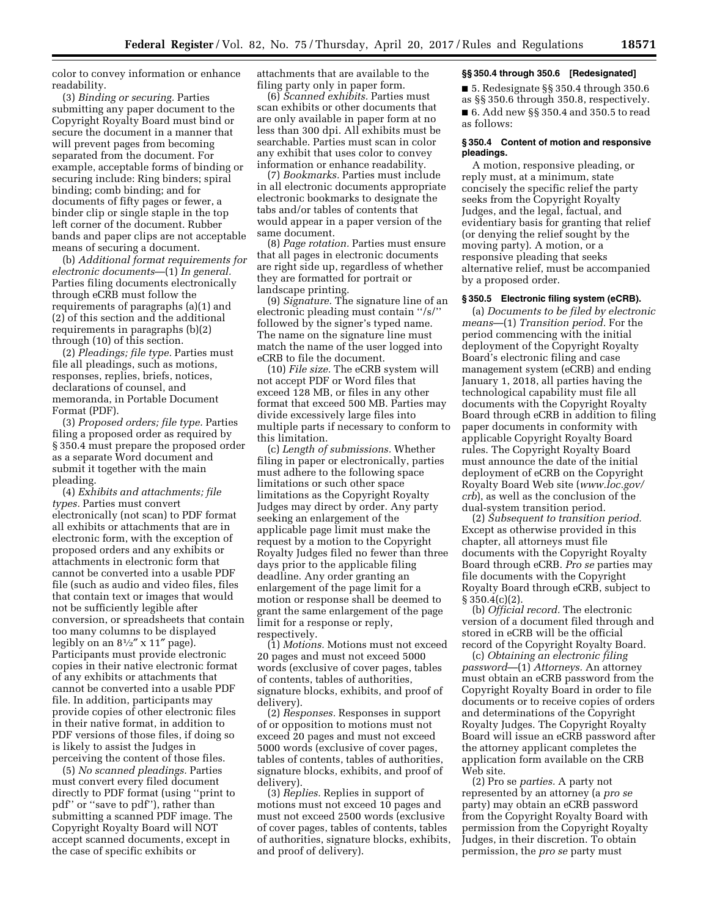color to convey information or enhance readability.

(3) *Binding or securing.* Parties submitting any paper document to the Copyright Royalty Board must bind or secure the document in a manner that will prevent pages from becoming separated from the document. For example, acceptable forms of binding or securing include: Ring binders; spiral binding; comb binding; and for documents of fifty pages or fewer, a binder clip or single staple in the top left corner of the document. Rubber bands and paper clips are not acceptable means of securing a document.

(b) *Additional format requirements for electronic documents*—(1) *In general.*  Parties filing documents electronically through eCRB must follow the requirements of paragraphs (a)(1) and (2) of this section and the additional requirements in paragraphs (b)(2) through (10) of this section.

(2) *Pleadings; file type.* Parties must file all pleadings, such as motions, responses, replies, briefs, notices, declarations of counsel, and memoranda, in Portable Document Format (PDF).

(3) *Proposed orders; file type.* Parties filing a proposed order as required by § 350.4 must prepare the proposed order as a separate Word document and submit it together with the main pleading.

(4) *Exhibits and attachments; file types.* Parties must convert electronically (not scan) to PDF format all exhibits or attachments that are in electronic form, with the exception of proposed orders and any exhibits or attachments in electronic form that cannot be converted into a usable PDF file (such as audio and video files, files that contain text or images that would not be sufficiently legible after conversion, or spreadsheets that contain too many columns to be displayed legibly on an  $8\frac{1}{2}$ " x 11" page). Participants must provide electronic copies in their native electronic format of any exhibits or attachments that cannot be converted into a usable PDF file. In addition, participants may provide copies of other electronic files in their native format, in addition to PDF versions of those files, if doing so is likely to assist the Judges in perceiving the content of those files.

(5) *No scanned pleadings.* Parties must convert every filed document directly to PDF format (using ''print to pdf'' or ''save to pdf''), rather than submitting a scanned PDF image. The Copyright Royalty Board will NOT accept scanned documents, except in the case of specific exhibits or

attachments that are available to the filing party only in paper form.

(6) *Scanned exhibits.* Parties must scan exhibits or other documents that are only available in paper form at no less than 300 dpi. All exhibits must be searchable. Parties must scan in color any exhibit that uses color to convey information or enhance readability.

(7) *Bookmarks.* Parties must include in all electronic documents appropriate electronic bookmarks to designate the tabs and/or tables of contents that would appear in a paper version of the same document.

(8) *Page rotation.* Parties must ensure that all pages in electronic documents are right side up, regardless of whether they are formatted for portrait or landscape printing.

(9) *Signature.* The signature line of an electronic pleading must contain ''/s/'' followed by the signer's typed name. The name on the signature line must match the name of the user logged into eCRB to file the document.

(10) *File size.* The eCRB system will not accept PDF or Word files that exceed 128 MB, or files in any other format that exceed 500 MB. Parties may divide excessively large files into multiple parts if necessary to conform to this limitation.

(c) *Length of submissions.* Whether filing in paper or electronically, parties must adhere to the following space limitations or such other space limitations as the Copyright Royalty Judges may direct by order. Any party seeking an enlargement of the applicable page limit must make the request by a motion to the Copyright Royalty Judges filed no fewer than three days prior to the applicable filing deadline. Any order granting an enlargement of the page limit for a motion or response shall be deemed to grant the same enlargement of the page limit for a response or reply, respectively.

(1) *Motions.* Motions must not exceed 20 pages and must not exceed 5000 words (exclusive of cover pages, tables of contents, tables of authorities, signature blocks, exhibits, and proof of delivery).

(2) *Responses.* Responses in support of or opposition to motions must not exceed 20 pages and must not exceed 5000 words (exclusive of cover pages, tables of contents, tables of authorities, signature blocks, exhibits, and proof of delivery).

(3) *Replies.* Replies in support of motions must not exceed 10 pages and must not exceed 2500 words (exclusive of cover pages, tables of contents, tables of authorities, signature blocks, exhibits, and proof of delivery).

#### **§§ 350.4 through 350.6 [Redesignated]**

■ 5. Redesignate §§ 350.4 through 350.6 as §§ 350.6 through 350.8, respectively. ■ 6. Add new §§ 350.4 and 350.5 to read as follows:

### **§ 350.4 Content of motion and responsive pleadings.**

A motion, responsive pleading, or reply must, at a minimum, state concisely the specific relief the party seeks from the Copyright Royalty Judges, and the legal, factual, and evidentiary basis for granting that relief (or denying the relief sought by the moving party). A motion, or a responsive pleading that seeks alternative relief, must be accompanied by a proposed order.

### **§ 350.5 Electronic filing system (eCRB).**

(a) *Documents to be filed by electronic means*—(1) *Transition period.* For the period commencing with the initial deployment of the Copyright Royalty Board's electronic filing and case management system (eCRB) and ending January 1, 2018, all parties having the technological capability must file all documents with the Copyright Royalty Board through eCRB in addition to filing paper documents in conformity with applicable Copyright Royalty Board rules. The Copyright Royalty Board must announce the date of the initial deployment of eCRB on the Copyright Royalty Board Web site (*[www.loc.gov/](http://www.loc.gov/crb) [crb](http://www.loc.gov/crb)*), as well as the conclusion of the dual-system transition period.

(2) *Subsequent to transition period.*  Except as otherwise provided in this chapter, all attorneys must file documents with the Copyright Royalty Board through eCRB. *Pro se* parties may file documents with the Copyright Royalty Board through eCRB, subject to  $§ 350.4(c)(2)$ .

(b) *Official record.* The electronic version of a document filed through and stored in eCRB will be the official record of the Copyright Royalty Board.

(c) *Obtaining an electronic filing password*—(1) *Attorneys.* An attorney must obtain an eCRB password from the Copyright Royalty Board in order to file documents or to receive copies of orders and determinations of the Copyright Royalty Judges. The Copyright Royalty Board will issue an eCRB password after the attorney applicant completes the application form available on the CRB Web site.

(2) Pro se *parties.* A party not represented by an attorney (a *pro se*  party) may obtain an eCRB password from the Copyright Royalty Board with permission from the Copyright Royalty Judges, in their discretion. To obtain permission, the *pro se* party must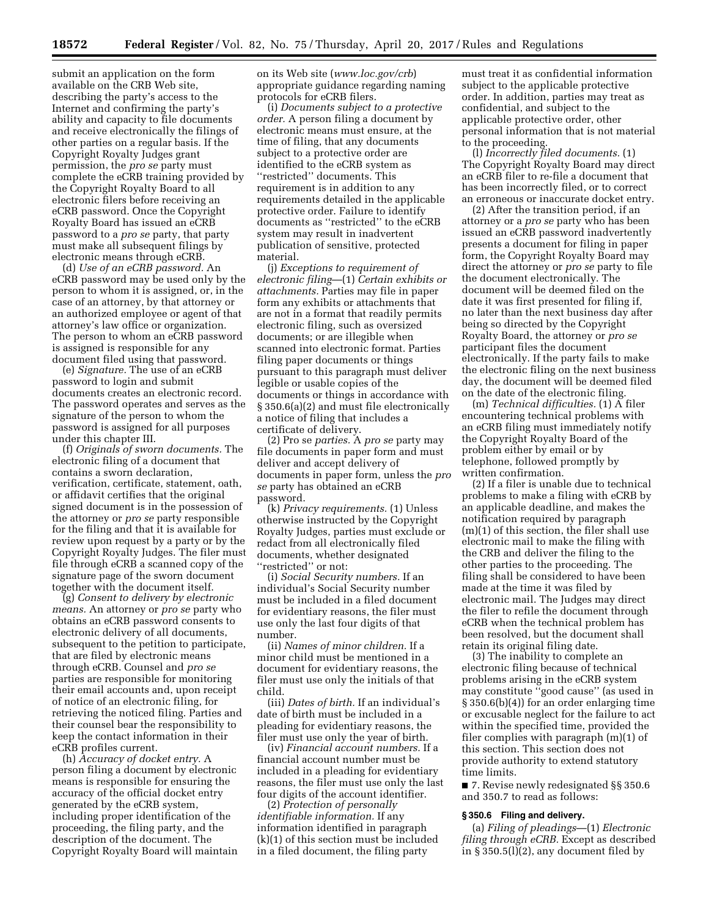submit an application on the form available on the CRB Web site, describing the party's access to the Internet and confirming the party's ability and capacity to file documents and receive electronically the filings of other parties on a regular basis. If the Copyright Royalty Judges grant permission, the *pro se* party must complete the eCRB training provided by the Copyright Royalty Board to all electronic filers before receiving an eCRB password. Once the Copyright Royalty Board has issued an eCRB password to a *pro se* party, that party must make all subsequent filings by electronic means through eCRB.

(d) *Use of an eCRB password.* An eCRB password may be used only by the person to whom it is assigned, or, in the case of an attorney, by that attorney or an authorized employee or agent of that attorney's law office or organization. The person to whom an eCRB password is assigned is responsible for any document filed using that password.

(e) *Signature.* The use of an eCRB password to login and submit documents creates an electronic record. The password operates and serves as the signature of the person to whom the password is assigned for all purposes under this chapter III.

(f) *Originals of sworn documents.* The electronic filing of a document that contains a sworn declaration, verification, certificate, statement, oath, or affidavit certifies that the original signed document is in the possession of the attorney or *pro se* party responsible for the filing and that it is available for review upon request by a party or by the Copyright Royalty Judges. The filer must file through eCRB a scanned copy of the signature page of the sworn document together with the document itself.

(g) *Consent to delivery by electronic means.* An attorney or *pro se* party who obtains an eCRB password consents to electronic delivery of all documents, subsequent to the petition to participate, that are filed by electronic means through eCRB. Counsel and *pro se*  parties are responsible for monitoring their email accounts and, upon receipt of notice of an electronic filing, for retrieving the noticed filing. Parties and their counsel bear the responsibility to keep the contact information in their eCRB profiles current.

(h) *Accuracy of docket entry.* A person filing a document by electronic means is responsible for ensuring the accuracy of the official docket entry generated by the eCRB system, including proper identification of the proceeding, the filing party, and the description of the document. The Copyright Royalty Board will maintain on its Web site (*[www.loc.gov/crb](http://www.loc.gov/crb)*) appropriate guidance regarding naming protocols for eCRB filers.

(i) *Documents subject to a protective order.* A person filing a document by electronic means must ensure, at the time of filing, that any documents subject to a protective order are identified to the eCRB system as ''restricted'' documents. This requirement is in addition to any requirements detailed in the applicable protective order. Failure to identify documents as ''restricted'' to the eCRB system may result in inadvertent publication of sensitive, protected material.

(j) *Exceptions to requirement of electronic filing*—(1) *Certain exhibits or attachments.* Parties may file in paper form any exhibits or attachments that are not in a format that readily permits electronic filing, such as oversized documents; or are illegible when scanned into electronic format. Parties filing paper documents or things pursuant to this paragraph must deliver legible or usable copies of the documents or things in accordance with § 350.6(a)(2) and must file electronically a notice of filing that includes a certificate of delivery.

(2) Pro se *parties.* A *pro se* party may file documents in paper form and must deliver and accept delivery of documents in paper form, unless the *pro se* party has obtained an eCRB password.

(k) *Privacy requirements.* (1) Unless otherwise instructed by the Copyright Royalty Judges, parties must exclude or redact from all electronically filed documents, whether designated "restricted" or not:

(i) *Social Security numbers.* If an individual's Social Security number must be included in a filed document for evidentiary reasons, the filer must use only the last four digits of that number.

(ii) *Names of minor children.* If a minor child must be mentioned in a document for evidentiary reasons, the filer must use only the initials of that child.

(iii) *Dates of birth.* If an individual's date of birth must be included in a pleading for evidentiary reasons, the filer must use only the year of birth.

(iv) *Financial account numbers.* If a financial account number must be included in a pleading for evidentiary reasons, the filer must use only the last four digits of the account identifier.

(2) *Protection of personally identifiable information.* If any information identified in paragraph (k)(1) of this section must be included in a filed document, the filing party

must treat it as confidential information subject to the applicable protective order. In addition, parties may treat as confidential, and subject to the applicable protective order, other personal information that is not material to the proceeding.

(l) *Incorrectly filed documents.* (1) The Copyright Royalty Board may direct an eCRB filer to re-file a document that has been incorrectly filed, or to correct an erroneous or inaccurate docket entry.

(2) After the transition period, if an attorney or a *pro se* party who has been issued an eCRB password inadvertently presents a document for filing in paper form, the Copyright Royalty Board may direct the attorney or *pro se* party to file the document electronically. The document will be deemed filed on the date it was first presented for filing if, no later than the next business day after being so directed by the Copyright Royalty Board, the attorney or *pro se*  participant files the document electronically. If the party fails to make the electronic filing on the next business day, the document will be deemed filed on the date of the electronic filing.

(m) *Technical difficulties.* (1) A filer encountering technical problems with an eCRB filing must immediately notify the Copyright Royalty Board of the problem either by email or by telephone, followed promptly by written confirmation.

(2) If a filer is unable due to technical problems to make a filing with eCRB by an applicable deadline, and makes the notification required by paragraph (m)(1) of this section, the filer shall use electronic mail to make the filing with the CRB and deliver the filing to the other parties to the proceeding. The filing shall be considered to have been made at the time it was filed by electronic mail. The Judges may direct the filer to refile the document through eCRB when the technical problem has been resolved, but the document shall retain its original filing date.

(3) The inability to complete an electronic filing because of technical problems arising in the eCRB system may constitute ''good cause'' (as used in § 350.6(b)(4)) for an order enlarging time or excusable neglect for the failure to act within the specified time, provided the filer complies with paragraph (m)(1) of this section. This section does not provide authority to extend statutory time limits.

■ 7. Revise newly redesignated §§ 350.6 and 350.7 to read as follows:

### **§ 350.6 Filing and delivery.**

(a) *Filing of pleadings*—(1) *Electronic filing through eCRB.* Except as described in § 350.5(l)(2), any document filed by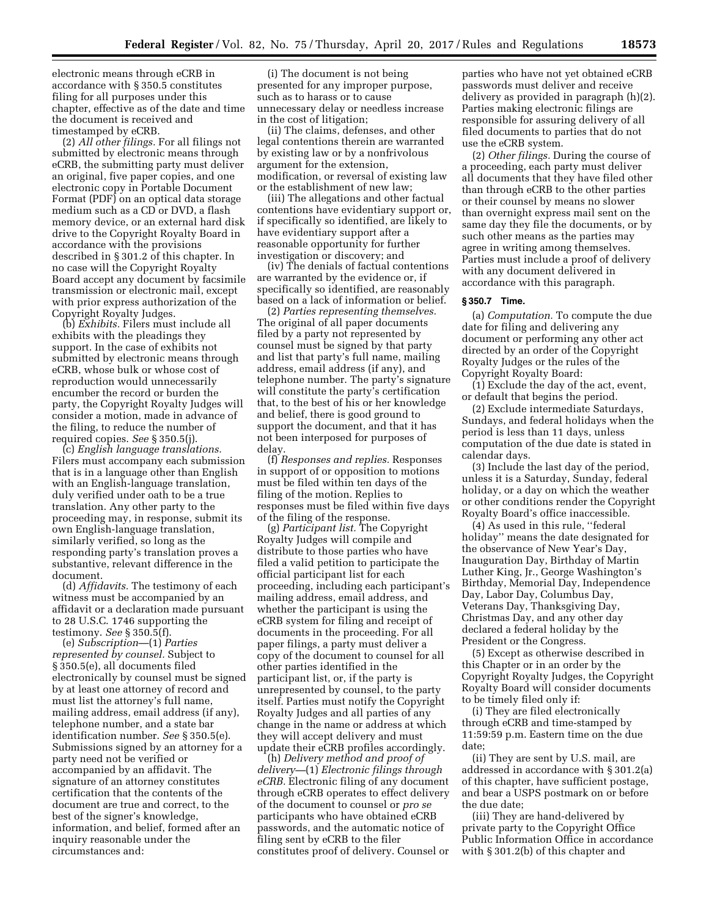electronic means through eCRB in accordance with § 350.5 constitutes filing for all purposes under this chapter, effective as of the date and time the document is received and timestamped by eCRB.

(2) *All other filings.* For all filings not submitted by electronic means through eCRB, the submitting party must deliver an original, five paper copies, and one electronic copy in Portable Document Format (PDF) on an optical data storage medium such as a CD or DVD, a flash memory device, or an external hard disk drive to the Copyright Royalty Board in accordance with the provisions described in § 301.2 of this chapter. In no case will the Copyright Royalty Board accept any document by facsimile transmission or electronic mail, except with prior express authorization of the Copyright Royalty Judges.

(b) *Exhibits.* Filers must include all exhibits with the pleadings they support. In the case of exhibits not submitted by electronic means through eCRB, whose bulk or whose cost of reproduction would unnecessarily encumber the record or burden the party, the Copyright Royalty Judges will consider a motion, made in advance of the filing, to reduce the number of required copies. *See* § 350.5(j).

(c) *English language translations.*  Filers must accompany each submission that is in a language other than English with an English-language translation, duly verified under oath to be a true translation. Any other party to the proceeding may, in response, submit its own English-language translation, similarly verified, so long as the responding party's translation proves a substantive, relevant difference in the document.

(d) *Affidavits.* The testimony of each witness must be accompanied by an affidavit or a declaration made pursuant to 28 U.S.C. 1746 supporting the testimony. *See* § 350.5(f).

(e) *Subscription*—(1) *Parties represented by counsel.* Subject to § 350.5(e), all documents filed electronically by counsel must be signed by at least one attorney of record and must list the attorney's full name, mailing address, email address (if any), telephone number, and a state bar identification number. *See* § 350.5(e). Submissions signed by an attorney for a party need not be verified or accompanied by an affidavit. The signature of an attorney constitutes certification that the contents of the document are true and correct, to the best of the signer's knowledge, information, and belief, formed after an inquiry reasonable under the circumstances and:

(i) The document is not being presented for any improper purpose, such as to harass or to cause unnecessary delay or needless increase in the cost of litigation;

(ii) The claims, defenses, and other legal contentions therein are warranted by existing law or by a nonfrivolous argument for the extension, modification, or reversal of existing law or the establishment of new law;

(iii) The allegations and other factual contentions have evidentiary support or, if specifically so identified, are likely to have evidentiary support after a reasonable opportunity for further investigation or discovery; and

(iv) The denials of factual contentions are warranted by the evidence or, if specifically so identified, are reasonably based on a lack of information or belief.

(2) *Parties representing themselves.*  The original of all paper documents filed by a party not represented by counsel must be signed by that party and list that party's full name, mailing address, email address (if any), and telephone number. The party's signature will constitute the party's certification that, to the best of his or her knowledge and belief, there is good ground to support the document, and that it has not been interposed for purposes of delay.

(f) *Responses and replies.* Responses in support of or opposition to motions must be filed within ten days of the filing of the motion. Replies to responses must be filed within five days of the filing of the response.

(g) *Participant list.* The Copyright Royalty Judges will compile and distribute to those parties who have filed a valid petition to participate the official participant list for each proceeding, including each participant's mailing address, email address, and whether the participant is using the eCRB system for filing and receipt of documents in the proceeding. For all paper filings, a party must deliver a copy of the document to counsel for all other parties identified in the participant list, or, if the party is unrepresented by counsel, to the party itself. Parties must notify the Copyright Royalty Judges and all parties of any change in the name or address at which they will accept delivery and must update their eCRB profiles accordingly.

(h) *Delivery method and proof of delivery—*(1) *Electronic filings through eCRB.* Electronic filing of any document through eCRB operates to effect delivery of the document to counsel or *pro se*  participants who have obtained eCRB passwords, and the automatic notice of filing sent by eCRB to the filer constitutes proof of delivery. Counsel or

parties who have not yet obtained eCRB passwords must deliver and receive delivery as provided in paragraph (h)(2). Parties making electronic filings are responsible for assuring delivery of all filed documents to parties that do not use the eCRB system.

(2) *Other filings.* During the course of a proceeding, each party must deliver all documents that they have filed other than through eCRB to the other parties or their counsel by means no slower than overnight express mail sent on the same day they file the documents, or by such other means as the parties may agree in writing among themselves. Parties must include a proof of delivery with any document delivered in accordance with this paragraph.

#### **§ 350.7 Time.**

(a) *Computation.* To compute the due date for filing and delivering any document or performing any other act directed by an order of the Copyright Royalty Judges or the rules of the Copyright Royalty Board:

(1) Exclude the day of the act, event, or default that begins the period.

(2) Exclude intermediate Saturdays, Sundays, and federal holidays when the period is less than 11 days, unless computation of the due date is stated in calendar days.

(3) Include the last day of the period, unless it is a Saturday, Sunday, federal holiday, or a day on which the weather or other conditions render the Copyright Royalty Board's office inaccessible.

(4) As used in this rule, ''federal holiday'' means the date designated for the observance of New Year's Day, Inauguration Day, Birthday of Martin Luther King, Jr., George Washington's Birthday, Memorial Day, Independence Day, Labor Day, Columbus Day, Veterans Day, Thanksgiving Day, Christmas Day, and any other day declared a federal holiday by the President or the Congress.

(5) Except as otherwise described in this Chapter or in an order by the Copyright Royalty Judges, the Copyright Royalty Board will consider documents to be timely filed only if:

(i) They are filed electronically through eCRB and time-stamped by 11:59:59 p.m. Eastern time on the due date;

(ii) They are sent by U.S. mail, are addressed in accordance with § 301.2(a) of this chapter, have sufficient postage, and bear a USPS postmark on or before the due date;

(iii) They are hand-delivered by private party to the Copyright Office Public Information Office in accordance with § 301.2(b) of this chapter and